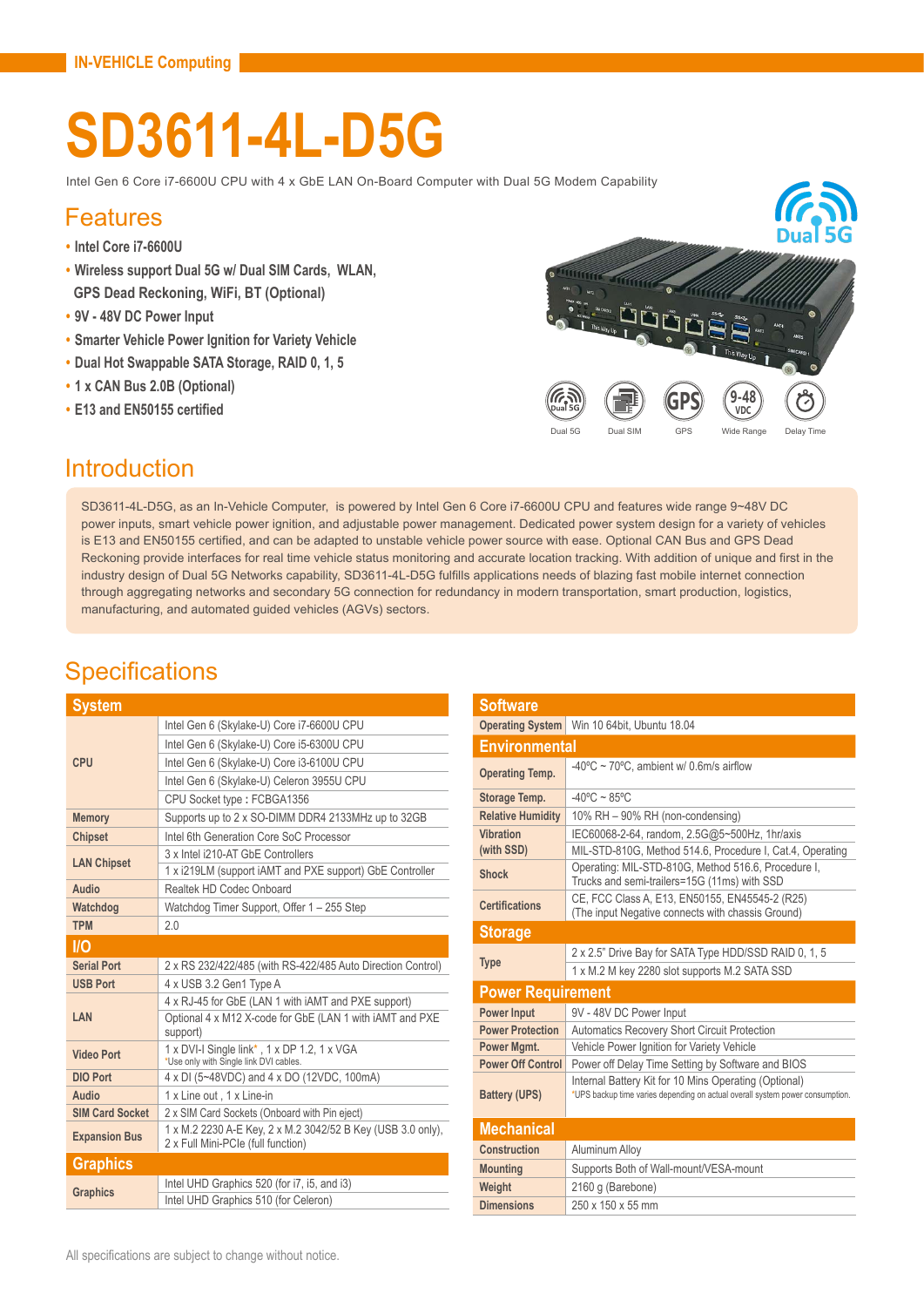# **SD3611-4L-D5G**

Intel Gen 6 Core i7-6600U CPU with 4 x GbE LAN On-Board Computer with Dual 5G Modem Capability

#### **Features**

- **• Intel Core i7-6600U**
- **• Wireless support Dual 5G w/ Dual SIM Cards, WLAN, GPS Dead Reckoning, WiFi, BT (Optional)**
- **• 9V 48V DC Power Input**
- **• Smarter Vehicle Power Ignition for Variety Vehicle**
- **• Dual Hot Swappable SATA Storage, RAID 0, 1, 5**
- **• 1 x CAN Bus 2.0B (Optional)**
- **• E13 and EN50155 certified**



#### **Introduction**

SD3611-4L-D5G, as an In-Vehicle Computer, is powered by Intel Gen 6 Core i7-6600U CPU and features wide range 9~48V DC power inputs, smart vehicle power ignition, and adjustable power management. Dedicated power system design for a variety of vehicles is E13 and EN50155 certified, and can be adapted to unstable vehicle power source with ease. Optional CAN Bus and GPS Dead Reckoning provide interfaces for real time vehicle status monitoring and accurate location tracking. With addition of unique and first in the industry design of Dual 5G Networks capability, SD3611-4L-D5G fulfills applications needs of blazing fast mobile internet connection through aggregating networks and secondary 5G connection for redundancy in modern transportation, smart production, logistics, manufacturing, and automated guided vehicles (AGVs) sectors.

## **Specifications**

| <b>System</b>          |                                                                                                   |  |
|------------------------|---------------------------------------------------------------------------------------------------|--|
| CPU                    | Intel Gen 6 (Skylake-U) Core i7-6600U CPU                                                         |  |
|                        | Intel Gen 6 (Skylake-U) Core i5-6300U CPU                                                         |  |
|                        | Intel Gen 6 (Skylake-U) Core i3-6100U CPU                                                         |  |
|                        | Intel Gen 6 (Skylake-U) Celeron 3955U CPU                                                         |  |
|                        | CPU Socket type: FCBGA1356                                                                        |  |
| <b>Memory</b>          | Supports up to 2 x SO-DIMM DDR4 2133MHz up to 32GB                                                |  |
| <b>Chipset</b>         | Intel 6th Generation Core SoC Processor                                                           |  |
| <b>LAN Chipset</b>     | 3 x Intel i210-AT GbE Controllers                                                                 |  |
|                        | 1 x i219LM (support iAMT and PXE support) GbE Controller                                          |  |
| Audio                  | Realtek HD Codec Onboard                                                                          |  |
| Watchdog               | Watchdog Timer Support, Offer 1 - 255 Step                                                        |  |
| <b>TPM</b>             | 2.0                                                                                               |  |
| 1/Q                    |                                                                                                   |  |
| <b>Serial Port</b>     | 2 x RS 232/422/485 (with RS-422/485 Auto Direction Control)                                       |  |
| <b>USB Port</b>        | 4 x USB 3.2 Gen1 Type A                                                                           |  |
|                        | 4 x RJ-45 for GbE (LAN 1 with iAMT and PXE support)                                               |  |
| LAN                    | Optional 4 x M12 X-code for GbE (LAN 1 with iAMT and PXE<br>support)                              |  |
| <b>Video Port</b>      | 1 x DVI-I Single link*, 1 x DP 1.2, 1 x VGA<br>*Use only with Single link DVI cables.             |  |
| <b>DIO Port</b>        | 4 x DI (5~48VDC) and 4 x DO (12VDC, 100mA)                                                        |  |
| Audio                  | 1 x Line out . 1 x Line-in                                                                        |  |
| <b>SIM Card Socket</b> | 2 x SIM Card Sockets (Onboard with Pin eject)                                                     |  |
| <b>Expansion Bus</b>   | 1 x M.2 2230 A-E Key, 2 x M.2 3042/52 B Key (USB 3.0 only),<br>2 x Full Mini-PCle (full function) |  |
| <b>Graphics</b>        |                                                                                                   |  |
| <b>Graphics</b>        | Intel UHD Graphics 520 (for i7, i5, and i3)                                                       |  |
|                        | Intel UHD Graphics 510 (for Celeron)                                                              |  |

| <b>Software</b>          |                                                                                                                                        |  |
|--------------------------|----------------------------------------------------------------------------------------------------------------------------------------|--|
| <b>Operating System</b>  | Win 10 64bit, Ubuntu 18.04                                                                                                             |  |
| <b>Environmental</b>     |                                                                                                                                        |  |
| <b>Operating Temp.</b>   | -40 $\degree$ C ~ 70 $\degree$ C, ambient w/ 0.6m/s airflow                                                                            |  |
| Storage Temp.            | $-40^{\circ}$ C ~ 85°C                                                                                                                 |  |
| <b>Relative Humidity</b> | 10% RH - 90% RH (non-condensing)                                                                                                       |  |
| <b>Vibration</b>         | IEC60068-2-64, random, 2.5G@5~500Hz, 1hr/axis                                                                                          |  |
| (with SSD)               | MIL-STD-810G, Method 514.6, Procedure I, Cat.4, Operating                                                                              |  |
| <b>Shock</b>             | Operating: MIL-STD-810G, Method 516.6, Procedure I,<br>Trucks and semi-trailers=15G (11ms) with SSD                                    |  |
| <b>Certifications</b>    | CE, FCC Class A, E13, EN50155, EN45545-2 (R25)<br>(The input Negative connects with chassis Ground)                                    |  |
| <b>Storage</b>           |                                                                                                                                        |  |
|                          | 2 x 2.5" Drive Bay for SATA Type HDD/SSD RAID 0, 1, 5                                                                                  |  |
| <b>Type</b>              | 1 x M.2 M key 2280 slot supports M.2 SATA SSD                                                                                          |  |
| <b>Power Requirement</b> |                                                                                                                                        |  |
| <b>Power Input</b>       | 9V - 48V DC Power Input                                                                                                                |  |
| <b>Power Protection</b>  | <b>Automatics Recovery Short Circuit Protection</b>                                                                                    |  |
| Power Mgmt.              | Vehicle Power Ignition for Variety Vehicle                                                                                             |  |
| <b>Power Off Control</b> | Power off Delay Time Setting by Software and BIOS                                                                                      |  |
| <b>Battery (UPS)</b>     | Internal Battery Kit for 10 Mins Operating (Optional)<br>*UPS backup time varies depending on actual overall system power consumption. |  |
|                          |                                                                                                                                        |  |
| <b>Mechanical</b>        |                                                                                                                                        |  |
| Construction             | <b>Aluminum Alloy</b>                                                                                                                  |  |
| <b>Mounting</b>          | Supports Both of Wall-mount/VESA-mount                                                                                                 |  |
| Weight                   | 2160 g (Barebone)                                                                                                                      |  |
| <b>Dimensions</b>        | 250 x 150 x 55 mm                                                                                                                      |  |